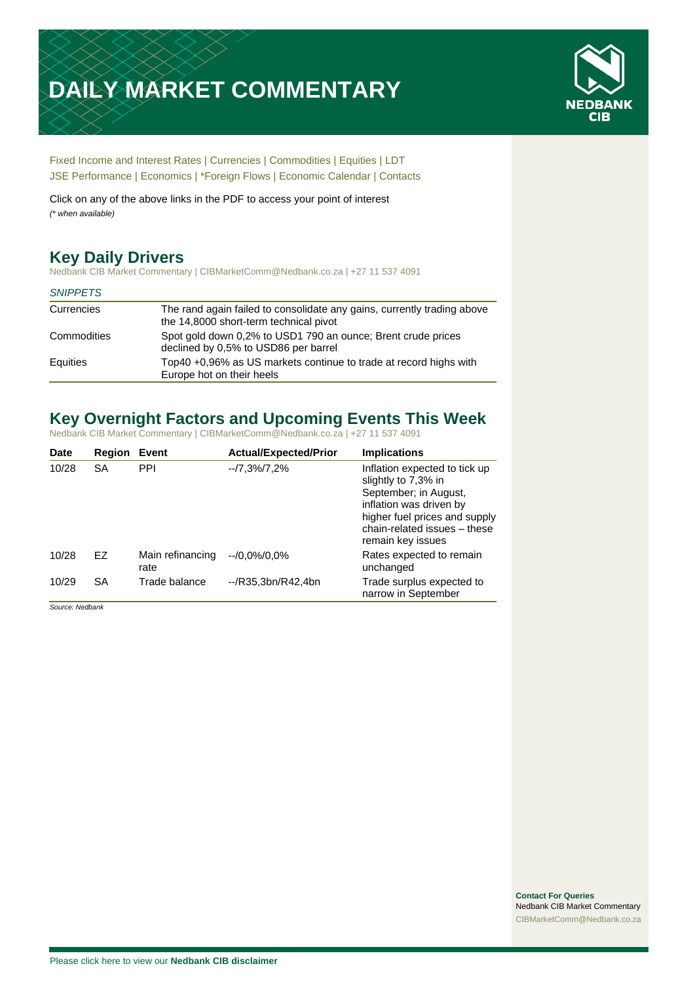# **DAILY MARKET COMMENTARY**



[Fixed Income and Interest Rates](#page-1-0) | [Currencies](#page-2-0) | [Commodities](#page-3-0) [| Equities](#page-4-0) | [LDT](#page-5-0) [JSE Performance](#page-6-0) | [Economics](#page-7-0) | \*Foreign Flows | [Economic Calendar](#page-7-0) | [Contacts](#page-8-0)

Click on any of the above links in the PDF to access your point of interest *(\* when available)*

## **Key Daily Drivers**

Nedbank CIB Market Commentary | CIBMarketComm@Nedbank.co.za | +27 11 537 4091

#### *SNIPPETS*

| Currencies  | The rand again failed to consolidate any gains, currently trading above<br>the 14,8000 short-term technical pivot |
|-------------|-------------------------------------------------------------------------------------------------------------------|
| Commodities | Spot gold down 0.2% to USD1 790 an ounce; Brent crude prices<br>declined by 0,5% to USD86 per barrel              |
| Equities    | Top40 +0,96% as US markets continue to trade at record highs with<br>Europe hot on their heels                    |

### **Key Overnight Factors and Upcoming Events This Week**

Nedbank CIB Market Commentary | CIBMarketComm@Nedbank.co.za | +27 11 537 4091

| <b>Date</b> | <b>Region</b> | Event                    | <b>Actual/Expected/Prior</b> | <b>Implications</b>                                                                                                                                                                            |
|-------------|---------------|--------------------------|------------------------------|------------------------------------------------------------------------------------------------------------------------------------------------------------------------------------------------|
| 10/28       | <b>SA</b>     | <b>PPI</b>               | $-7,3\%/7,2\%$               | Inflation expected to tick up<br>slightly to 7,3% in<br>September; in August,<br>inflation was driven by<br>higher fuel prices and supply<br>chain-related issues - these<br>remain key issues |
| 10/28       | EZ            | Main refinancing<br>rate | $-10.0\%/0.0\%$              | Rates expected to remain<br>unchanged                                                                                                                                                          |
| 10/29       | <b>SA</b>     | Trade balance            | $-$ /R35.3bn/R42.4bn         | Trade surplus expected to<br>narrow in September                                                                                                                                               |

*Source: Nedbank*

**Contact For Queries** Nedbank CIB Market Commentary [CIBMarketComm@Nedbank.co.za](file:///C:/Users/Paul-Rose/AppData/Roaming/Bluecurve/templates/CIBMarketComm@Nedbank.co.za)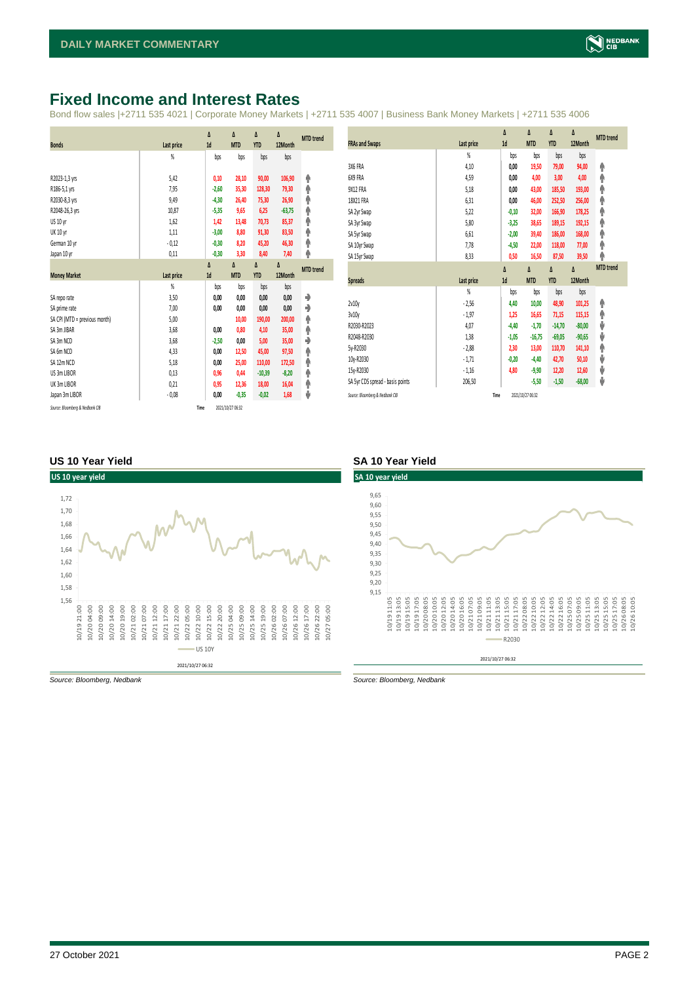### <span id="page-1-0"></span>**Fixed Income and Interest Rates**

Bond flow sales |+2711 535 4021 | Corporate Money Markets | +2711 535 4007 | Business Bank Money Markets | +2711 535 4006

|                                 |            | Δ       | Δ                | Δ          | Δ        | <b>MTD</b> trend |
|---------------------------------|------------|---------|------------------|------------|----------|------------------|
| <b>Bonds</b>                    | Last price | 1d      | <b>MTD</b>       | <b>YTD</b> | 12Month  |                  |
|                                 | %          | bps     | bps              | bps        | bps      |                  |
|                                 |            |         |                  |            |          |                  |
| R2023-1,3 yrs                   | 5,42       | 0,10    | 28,10            | 90,00      | 106,90   | ۸                |
| R186-5,1 yrs                    | 7,95       | $-2,60$ | 35,30            | 128,30     | 79,30    | ۸                |
| R2030-8,3 yrs                   | 9,49       | $-4,30$ | 26,40            | 75,30      | 26,90    | ۸                |
| R2048-26,3 yrs                  | 10,87      | $-5,35$ | 9,65             | 6,25       | $-63,75$ | φ                |
| US 10 yr                        | 1,62       | 1,42    | 13,48            | 70,73      | 85,37    | ۸                |
| <b>UK 10 yr</b>                 | 1,11       | $-3,00$ | 8,80             | 91,30      | 83,50    | ۸                |
| German 10 yr                    | $-0,12$    | $-0,30$ | 8,20             | 45,20      | 46,30    | ۸                |
| Japan 10 yr                     | 0,11       | $-0,30$ | 3,30             | 8,40       | 7,40     | φ                |
|                                 |            | Δ       | Δ                | Δ          | Δ        | <b>MTD</b> trend |
| <b>Money Market</b>             | Last price | 1d      | <b>MTD</b>       | <b>YTD</b> | 12Month  |                  |
|                                 | %          | bps     | bps              | bps        | bps      |                  |
| SA repo rate                    | 3,50       | 0,00    | 0,00             | 0,00       | 0,00     | ۰                |
| SA prime rate                   | 7,00       | 0,00    | 0,00             | 0,00       | 0,00     | ۰                |
| SA CPI (MTD = previous month)   | 5,00       |         | 10,00            | 190,00     | 200,00   | ۸                |
| SA 3m JIBAR                     | 3,68       | 0,00    | 0,80             | 4,10       | 35,00    | ۸                |
| SA 3m NCD                       | 3,68       | $-2,50$ | 0,00             | 5,00       | 35,00    | ٠                |
| SA 6m NCD                       | 4,33       | 0,00    | 12,50            | 45,00      | 97,50    | ۸                |
| SA 12m NCD                      | 5,18       | 0,00    | 25,00            | 110,00     | 172,50   | ۸                |
| US 3m LIBOR                     | 0,13       | 0,96    | 0,44             | $-10,39$   | $-8,20$  | ۸                |
| UK 3m LIBOR                     | 0,21       | 0,95    | 12,36            | 18,00      | 16,04    | ۸                |
| Japan 3m LIBOR                  | $-0.08$    | 0,00    | $-0,35$          | $-0,02$    | 1,68     | ψ                |
| Source: Bloomberg & Nedbank CIB | Time       |         | 2021/10/27 06:32 |            |          |                  |

|                                  |                | Δ       | Δ          | Δ          | Δ        | <b>MTD</b> trend |
|----------------------------------|----------------|---------|------------|------------|----------|------------------|
| <b>FRAs and Swaps</b>            | Last price     | 1d      | <b>MTD</b> | <b>YTD</b> | 12Month  |                  |
|                                  | $\frac{9}{20}$ | bps     | bps        | bps        | bps      |                  |
| 3X6 FRA                          | 4,10           | 0,00    | 19,50      | 79,00      | 94,00    | ۸                |
| 6X9 FRA                          | 4,59           | 0,00    | 4,00       | 3,00       | 4,00     | φ                |
| 9X12 FRA                         | 5,18           | 0.00    | 43,00      | 185,50     | 193,00   | ♠                |
| 18X21 FRA                        | 6,31           | 0,00    | 46,00      | 252,50     | 256,00   | ♠                |
| SA 2yr Swap                      | 5,22           | $-0,10$ | 32,00      | 166,90     | 178,25   | ۸                |
| SA 3yr Swap                      | 5,80           | $-3,25$ | 38,65      | 189,15     | 192,15   | ♠                |
| SA 5yr Swap                      | 6,61           | $-2,00$ | 39,40      | 186,00     | 168,00   | ۸                |
| SA 10yr Swap                     | 7,78           | $-4,50$ | 22,00      | 118,00     | 77,00    | ♠                |
| SA 15yr Swap                     | 8,33           | 0,50    | 16,50      | 87,50      | 39,50    | φ                |
|                                  |                |         |            |            |          | <b>MTD</b> trend |
|                                  |                | Δ       | Δ          | Δ          | Δ        |                  |
| <b>Spreads</b>                   | Last price     | 1d      | <b>MTD</b> | <b>YTD</b> | 12Month  |                  |
|                                  | %              | bps     | bps        | bps        | bps      |                  |
| 2v10v                            | $-2,56$        | 4,40    | 10,00      | 48,90      | 101,25   | ۸                |
| 3v10y                            | $-1,97$        | 1,25    | 16,65      | 71,15      | 115,15   | ۸                |
| R2030-R2023                      | 4,07           | $-4,40$ | $-1,70$    | $-14,70$   | $-80,00$ | ψ                |
| R2048-R2030                      | 1,38           | $-1,05$ | $-16,75$   | $-69,05$   | $-90,65$ | ψ                |
| 5y-R2030                         | $-2,88$        | 2,30    | 13,00      | 110,70     | 141,10   | ۸                |
| 10y-R2030                        | $-1,71$        | $-0,20$ | $-4,40$    | 42,70      | 50,10    | ψ                |
| 15v-R2030                        | $-1,16$        | 4,80    | $-9,90$    | 12,20      | 12,60    | ψ                |
| SA 5yr CDS spread - basis points | 206,50         |         | $-5,50$    | $-1,50$    | $-68,00$ | ψ                |

#### **US 10 Year Yield SA 10 Year Yield**





*Source: Bloomberg, Nedbank Source: Bloomberg, Nedbank*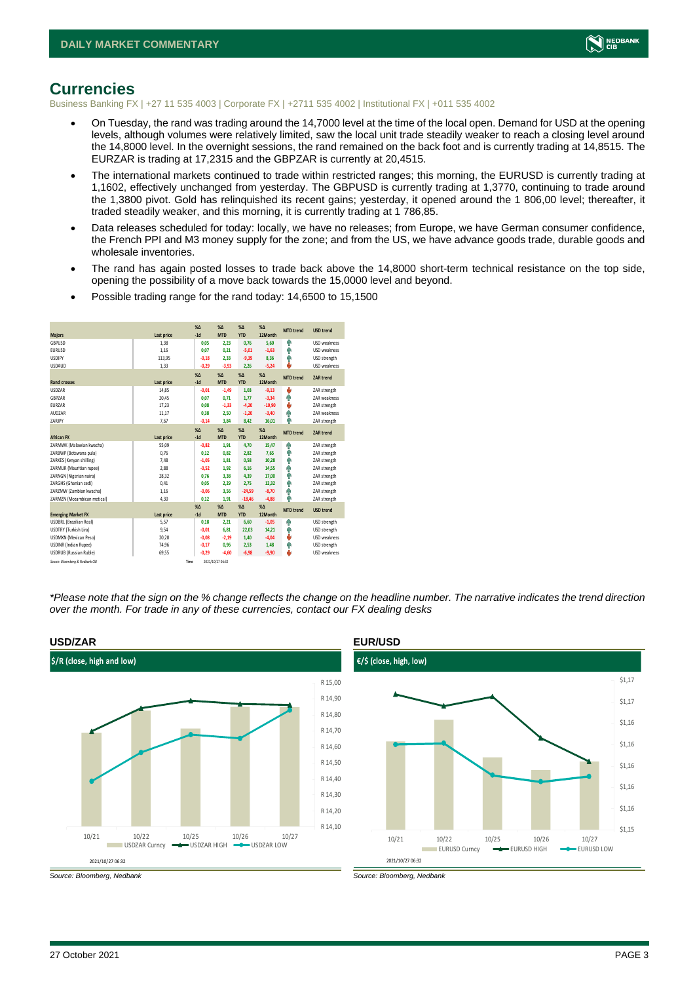

### <span id="page-2-0"></span>**Currencies**

Business Banking FX | +27 11 535 4003 | Corporate FX | +2711 535 4002 | Institutional FX | +011 535 4002

- On Tuesday, the rand was trading around the 14,7000 level at the time of the local open. Demand for USD at the opening levels, although volumes were relatively limited, saw the local unit trade steadily weaker to reach a closing level around the 14,8000 level. In the overnight sessions, the rand remained on the back foot and is currently trading at 14,8515. The EURZAR is trading at 17,2315 and the GBPZAR is currently at 20,4515.
- The international markets continued to trade within restricted ranges; this morning, the EURUSD is currently trading at 1,1602, effectively unchanged from yesterday. The GBPUSD is currently trading at 1,3770, continuing to trade around the 1,3800 pivot. Gold has relinquished its recent gains; yesterday, it opened around the 1 806,00 level; thereafter, it traded steadily weaker, and this morning, it is currently trading at 1 786,85.
- Data releases scheduled for today: locally, we have no releases; from Europe, we have German consumer confidence, the French PPI and M3 money supply for the zone; and from the US, we have advance goods trade, durable goods and wholesale inventories.
- The rand has again posted losses to trade back above the 14,8000 short-term technical resistance on the top side, opening the possibility of a move back towards the 15,0000 level and beyond.
- Possible trading range for the rand today: 14,6500 to 15,1500

| <b>Majors</b>                   | Last price | X <sub>A</sub><br>$-1d$ | X <sub>A</sub><br><b>MTD</b> | $%$ $\Lambda$<br><b>YTD</b> | %<br>12Month | <b>MTD</b> trend | <b>USD trend</b>    |
|---------------------------------|------------|-------------------------|------------------------------|-----------------------------|--------------|------------------|---------------------|
| GBPUSD                          | 1.38       | 0.05                    | 2.23                         | 0.76                        | 5.60         | Φ                | <b>USD</b> weakness |
| <b>EURUSD</b>                   | 1,16       | 0.07                    | 0,21                         | $-5,01$                     | $-1,63$      | ٠                | <b>USD</b> weakness |
| <b>USDJPY</b>                   | 113,95     | $-0.18$                 | 2.33                         | $-9.39$                     | 8.36         | ٠                | USD strength        |
| <b>USDAUD</b>                   | 1,33       | $-0,29$                 | $-3,93$                      | 2,26                        | $-5,24$      | ۵                | <b>USD</b> weakness |
|                                 |            | X <sub>A</sub>          | X <sub>A</sub>               | $% \Delta$                  | $% \Delta$   | <b>MTD</b> trend | <b>ZAR trend</b>    |
| <b>Rand crosses</b>             | Last price | $-1d$                   | <b>MTD</b>                   | <b>YTD</b>                  | 12Month      |                  |                     |
| <b>USDZAR</b>                   | 14.85      | $-0.01$                 | $-1,49$                      | 1.03                        | $-9.13$      | v                | ZAR strength        |
| GBPZAR                          | 20,45      | 0.07                    | 0.71                         | 1,77                        | $-3,34$      | ŵ                | ZAR weakness        |
| EURZAR                          | 17.23      | 0.08                    | $-1.33$                      | $-4.20$                     | $-10,90$     | v                | ZAR strength        |
| AUDZAR                          | 11,17      | 0,38                    | 2,50                         | $-1,20$                     | $-3,40$      | ŵ                | ZAR weakness        |
| ZARJPY                          | 7,67       | $-0,14$                 | 3,84                         | 8,42                        | 16,01        | ۸                | ZAR strength        |
|                                 |            | X <sub>A</sub>          | X <sub>A</sub>               | $% \Lambda$                 | %            | <b>MTD</b> trend | ZAR trend           |
| <b>African FX</b>               | Last price | $-1d$                   | <b>MTD</b>                   | <b>YTD</b>                  | 12Month      |                  |                     |
| ZARMWK (Malawian kwacha)        | 55.09      | $-0.82$                 | 1.91                         | 4.70                        | 15.47        | Ŵ                | ZAR strength        |
| ZARBWP (Botswana pula)          | 0,76       | 0,12                    | 0,82                         | 2,82                        | 7,65         | ٠                | ZAR strength        |
| ZARKES (Kenyan shilling)        | 7,48       | $-1,05$                 | 1,81                         | 0,58                        | 10,28        | Φ                | ZAR strength        |
| ZARMUR (Mauritian rupee)        | 2,88       | $-0,52$                 | 1,92                         | 6,16                        | 14,55        | ŵ                | ZAR strength        |
| ZARNGN (Nigerian naira)         | 28,32      | 0.76                    | 3,38                         | 4,39                        | 17,00        | ٠                | ZAR strength        |
| ZARGHS (Ghanian cedi)           | 0,41       | 0.05                    | 2,29                         | 2,75                        | 12,32        | Φ                | ZAR strength        |
| ZARZMW (Zambian kwacha)         | 1,16       | $-0.06$                 | 3.56                         | $-24.59$                    | $-8,70$      | ŵ                | ZAR strength        |
| ZARMZN (Mozambican metical)     | 4,30       | 0,12                    | 1,91                         | $-18,46$                    | $-4,88$      | Φ                | ZAR strength        |
|                                 |            | $\chi_{\Delta}$         | X <sub>A</sub>               | $% \Delta$                  | %            | <b>MTD</b> trend | <b>USD trend</b>    |
| <b>Emerging Market FX</b>       | Last price | $-1d$                   | <b>MTD</b>                   | <b>YTD</b>                  | 12Month      |                  |                     |
| <b>USDBRL (Brazilian Real)</b>  | 5,57       | 0,18                    | 2.21                         | 6,60                        | $-1,05$      | Ŵ                | USD strength        |
| <b>USDTRY (Turkish Lira)</b>    | 9,54       | $-0.01$                 | 6.81                         | 22,03                       | 14,21        | ٠                | USD strength        |
| USDMXN (Mexican Peso)           | 20,20      | $-0.08$                 | $-2,19$                      | 1,40                        | $-4,04$      | ٥                | USD weakness        |
| <b>USDINR (Indian Rupee)</b>    | 74,96      | $-0.17$                 | 0.96                         | 2,53                        | 1,48         | ٠                | USD strength        |
| <b>USDRUB</b> (Russian Ruble)   | 69,55      | $-0,29$                 | $-4,60$                      | $-6,98$                     | $-9,90$      | ш                | USD weakness        |
| Source: Bloomberg & Nedbank CIB | Time       |                         | 2021/10/27 06:32             |                             |              |                  |                     |

*\*Please note that the sign on the % change reflects the change on the headline number. The narrative indicates the trend direction over the month. For trade in any of these currencies, contact our FX dealing desks*



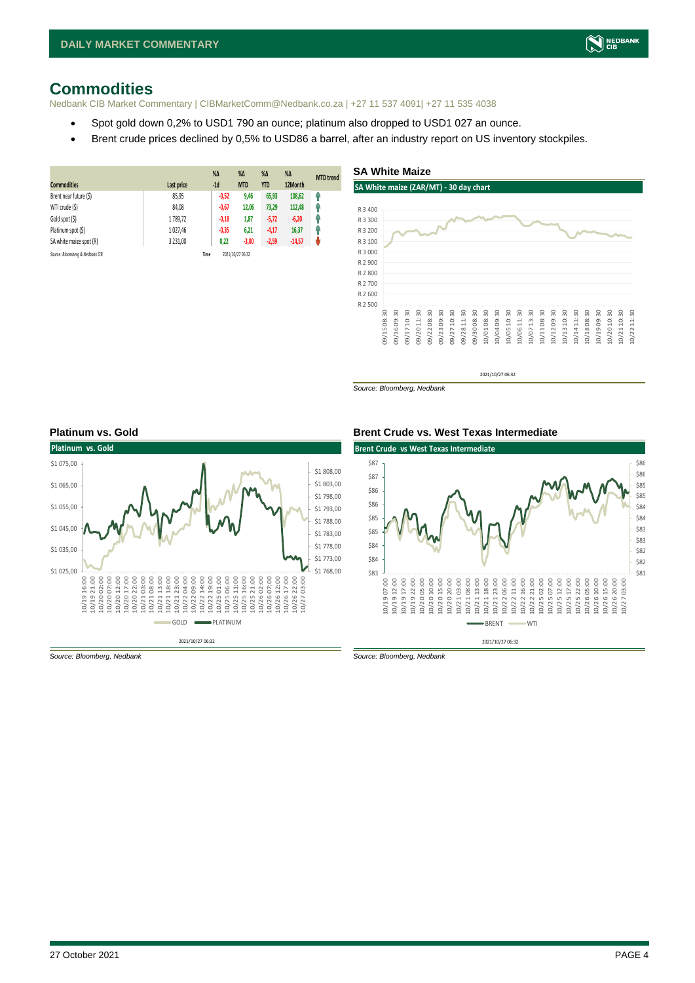### <span id="page-3-0"></span>**Commodities**

Nedbank CIB Market Commentary | CIBMarketComm@Nedbank.co.za | +27 11 537 4091| +27 11 535 4038

- Spot gold down 0,2% to USD1 790 an ounce; platinum also dropped to USD1 027 an ounce.
- Brent crude prices declined by 0,5% to USD86 a barrel, after an industry report on US inventory stockpiles.

| <b>Commodities</b>              | Last price | $%$ $\Delta$<br>$-1d$ | $\%$ $\Delta$<br><b>MTD</b> | $% \Delta$<br><b>YTD</b> | $%$ $\Delta$<br>12Month | <b>MTD</b> trend |
|---------------------------------|------------|-----------------------|-----------------------------|--------------------------|-------------------------|------------------|
| Brent near future (\$)          | 85,95      | $-0,52$               | 9,46                        | 65,93                    | 108,62                  | φ                |
| WTI crude (\$)                  | 84,08      | $-0,67$               | 12,06                       | 73,29                    | 112,48                  | Ω                |
| Gold spot (\$)                  | 1789.72    | $-0,18$               | 1,87                        | $-5,72$                  | $-6,20$                 | Ĥ                |
| Platinum spot (\$)              | 1 0 27,46  | $-0,35$               | 6,21                        | $-4,17$                  | 16,37                   | 48               |
| SA white maize spot (R)         | 3 2 3 1.00 | 0,22                  | $-3,00$                     | $-2,59$                  | $-14,57$                | Ψ                |
| Source: Bloomberg & Nedbank CIB |            | Time                  | 2021/10/27 06:32            |                          |                         |                  |

#### **SA White Maize**



2021/10/27 06:32

*Source: Bloomberg, Nedbank*







*Source: Bloomberg, Nedbank Source: Bloomberg, Nedbank*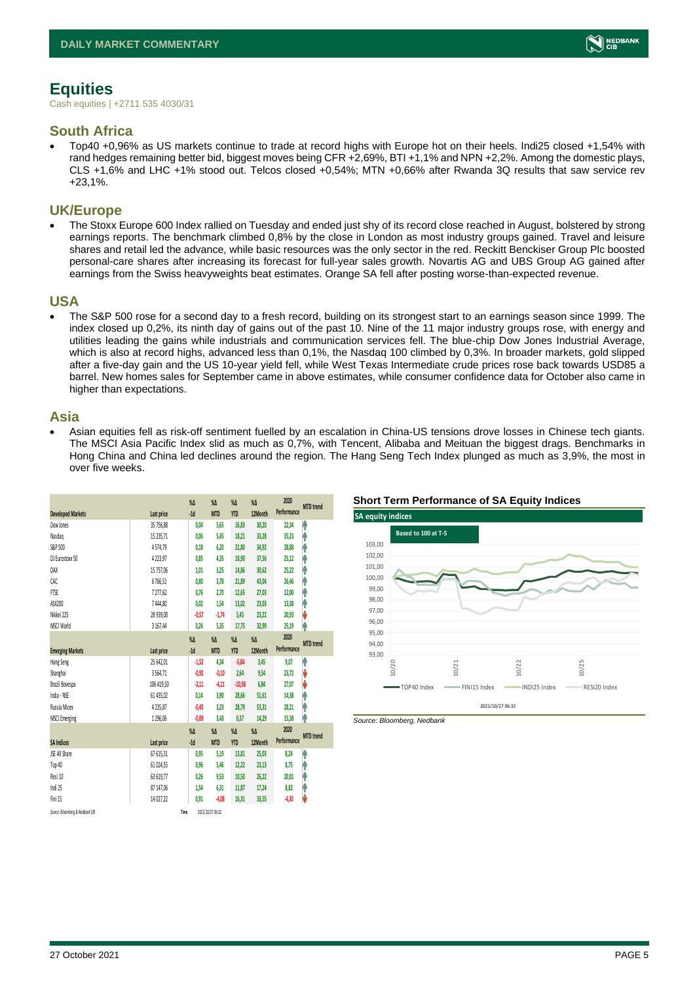### <span id="page-4-0"></span>**Equities**

Cash equities | +2711 535 4030/31

### **South Africa**

• Top40 +0,96% as US markets continue to trade at record highs with Europe hot on their heels. Indi25 closed +1,54% with rand hedges remaining better bid, biggest moves being CFR +2,69%, BTI +1,1% and NPN +2,2%. Among the domestic plays, CLS +1,6% and LHC +1% stood out. Telcos closed +0,54%; MTN +0,66% after Rwanda 3Q results that saw service rev +23,1%.

### **UK/Europe**

• The Stoxx Europe 600 Index rallied on Tuesday and ended just shy of its record close reached in August, bolstered by strong earnings reports. The benchmark climbed 0,8% by the close in London as most industry groups gained. Travel and leisure shares and retail led the advance, while basic resources was the only sector in the red. Reckitt Benckiser Group Plc boosted personal-care shares after increasing its forecast for full-year sales growth. Novartis AG and UBS Group AG gained after earnings from the Swiss heavyweights beat estimates. Orange SA fell after posting worse-than-expected revenue.

### **USA**

• The S&P 500 rose for a second day to a fresh record, building on its strongest start to an earnings season since 1999. The index closed up 0,2%, its ninth day of gains out of the past 10. Nine of the 11 major industry groups rose, with energy and utilities leading the gains while industrials and communication services fell. The blue-chip Dow Jones Industrial Average, which is also at record highs, advanced less than 0,1%, the Nasdaq 100 climbed by 0,3%. In broader markets, gold slipped after a five-day gain and the US 10-year yield fell, while West Texas Intermediate crude prices rose back towards USD85 a barrel. New homes sales for September came in above estimates, while consumer confidence data for October also came in higher than expectations.

### **Asia**

• Asian equities fell as risk-off sentiment fuelled by an escalation in China-US tensions drove losses in Chinese tech giants. The MSCI Asia Pacific Index slid as much as 0,7%, with Tencent, Alibaba and Meituan the biggest drags. Benchmarks in Hong China and China led declines around the region. The Hang Seng Tech Index plunged as much as 3,9%, the most in over five weeks.

|                                 |            | $\%$ $\Delta$ | $\%$ $\Delta$    | $\%$ $\Delta$ | $\%$ $\Delta$ | 2020        | <b>MTD</b> trend |
|---------------------------------|------------|---------------|------------------|---------------|---------------|-------------|------------------|
| <b>Developed Markets</b>        | Last price | $-1d$         | <b>MTD</b>       | <b>YTD</b>    | 12Month       | Performance |                  |
| Dow Jones                       | 35 756,88  | 0,04          | 5,65             | 16,83         | 30,20         | 22,34       | ۸                |
| Nasdao                          | 15 235,71  | 0.06          | 5,45             | 18,21         | 33,28         | 35,23       | φ                |
| S&P 500                         | 4574,79    | 0,18          | 6,20             | 21,80         | 34,92         | 28,88       | ۸                |
| DJ Eurostoxx 50                 | 4223,97    | 0,85          | 4,35             | 18,90         | 37,56         | 25,12       | ۸                |
| DAX                             | 15 757,06  | 1,01          | 3,25             | 14,86         | 30,62         | 25,22       | φ                |
| CAC                             | 6766.51    | 0.80          | 3.78             | 21,89         | 43.04         | 26,46       | ۸                |
| <b>FTSE</b>                     | 7277,62    | 0.76          | 2,70             | 12,65         | 27,03         | 12,00       | ۸                |
| ASX200                          | 7444,80    | 0.02          | 1,54             | 13,02         | 23,03         | 13,38       | ۸                |
| Nikkei 225                      | 28 939,00  | $-0,57$       | $-1.74$          | 5,45          | 23.22         | 20,93       | V                |
| MSCI World                      | 3 167,44   | 0,24          | 5,35             | 17,75         | 32,99         | 25,19       | ۸                |
|                                 |            | $\%$ $\Delta$ | $\%$ $\Delta$    | $\%$ $\Delta$ | $\%$ $\Delta$ | 2020        |                  |
| <b>Emerging Markets</b>         | Last price | $-1d$         | <b>MTD</b>       | <b>YTD</b>    | 12Month       | Performance | <b>MTD</b> trend |
| Hang Seng                       | 25 642,01  | $-1,52$       | 4,34             | $-5,84$       | 3,45          | 9,07        | ۸                |
| Shanghai                        | 3564,71    | $-0.92$       | $-0,10$          | 2.64          | 9,54          | 23,72       | V                |
| Brazil Bovespa                  | 106 419,50 | $-2,11$       | $-4,11$          | $-10,58$      | 6,84          | 27,07       | J                |
| India - NSE                     | 61 435,02  | 0,14          | 3,90             | 28,66         | 51,61         | 14,38       | φ                |
| Russia Micex                    | 4235,87    | $-0.45$       | 3.23             | 28,79         | 53,31         | 28,21       | ۸                |
| <b>MSCI Emerging</b>            | 1296,06    | $-0.09$       | 3,43             | 0,37          | 14,29         | 15,38       | ۸                |
|                                 |            | $\%$          | $\%$ $\Delta$    | $\%$ $\Delta$ | $\%$ $\Delta$ | 2020        | <b>MTD</b> trend |
| <b>SA Indices</b>               | Last price | $-1d$         | <b>MTD</b>       | <b>YTD</b>    | 12Month       | Performance |                  |
| <b>JSE All Share</b>            | 67 615,31  | 0,95          | 5,19             | 13,81         | 25,03         | 8,24        | ۸                |
| Top 40                          | 61 024,55  | 0,96          | 5,46             | 12,22         | 23,13         | 8,75        | φ                |
| Resi 10                         | 63 619.77  | 0.26          | 9.53             | 10,50         | 26,22         | 20,01       | φ                |
| Indi 25                         | 87 147,06  | 1,54          | 6,31             | 11,87         | 17,24         | 8,82        | ۸                |
| Fini 15                         | 14 027,22  | 0,91          | $-4,08$          | 16,31         | 33,55         | $-4,30$     | V                |
| Source: Bloomberg & Nedbonk CIB |            | Time          | 2021/10/27 06:32 |               |               |             |                  |





*Source: Bloomberg, Nedbank*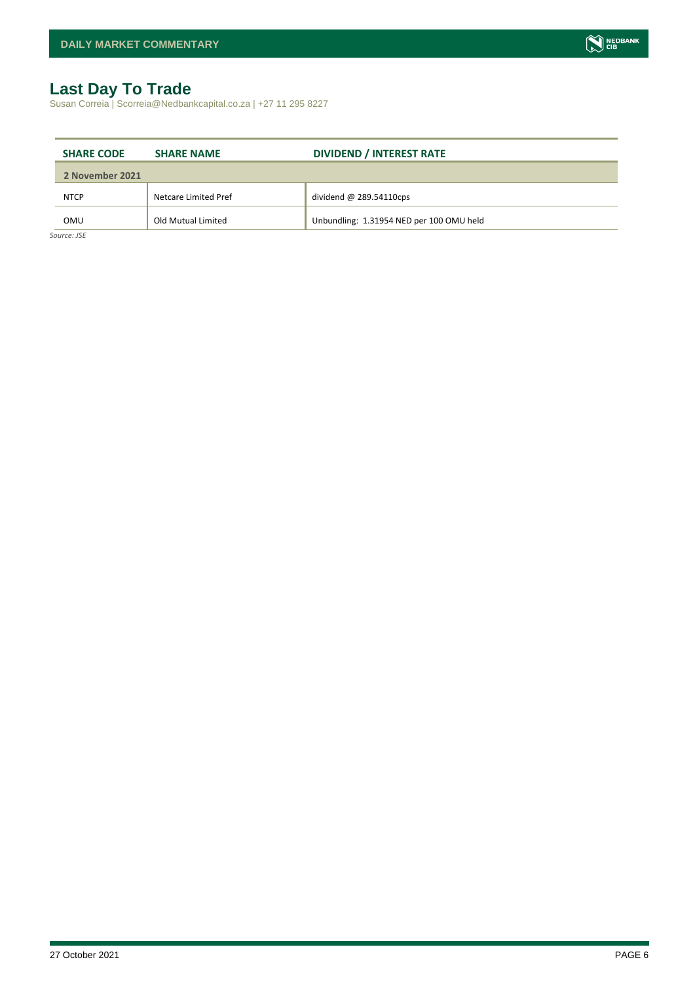### <span id="page-5-0"></span>**Last Day To Trade**

Susan Correia | Scorreia@Nedbankcapital.co.za | +27 11 295 8227

| <b>SHARE CODE</b> | <b>SHARE NAME</b>    | <b>DIVIDEND / INTEREST RATE</b>          |
|-------------------|----------------------|------------------------------------------|
| 2 November 2021   |                      |                                          |
| <b>NTCP</b>       | Netcare Limited Pref | dividend $@$ 289.54110cps                |
| OMU               | Old Mutual Limited   | Unbundling: 1.31954 NED per 100 OMU held |
| Source: JSE       |                      |                                          |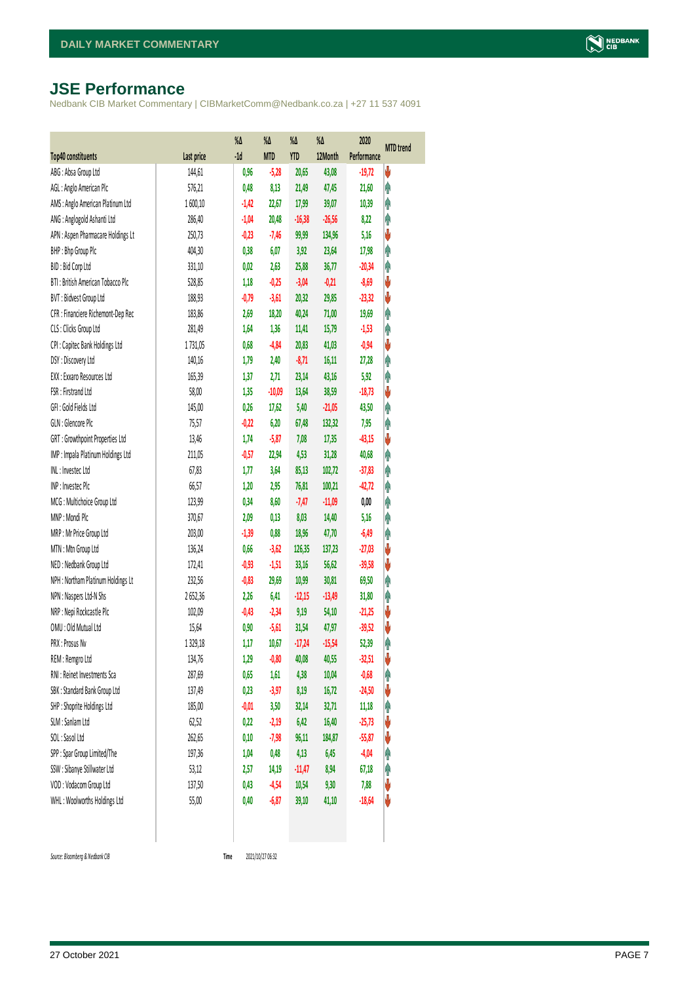### <span id="page-6-0"></span>**JSE Performance**

Nedbank CIB Market Commentary | CIBMarketComm@Nedbank.co.za | +27 11 537 4091

|                                    |            | $\%$ $\Delta$ | %Δ         | %Δ         | %Δ       | 2020        | <b>MTD</b> trend |
|------------------------------------|------------|---------------|------------|------------|----------|-------------|------------------|
| <b>Top40 constituents</b>          | Last price | $-1d$         | <b>MTD</b> | <b>YTD</b> | 12Month  | Performance |                  |
| ABG: Absa Group Ltd                | 144,61     | 0,96          | $-5,28$    | 20,65      | 43,08    | $-19,72$    | V                |
| AGL : Anglo American Plc           | 576,21     | 0,48          | 8,13       | 21,49      | 47,45    | 21,60       | φ                |
| AMS: Anglo American Platinum Ltd   | 1600,10    | $-1,42$       | 22,67      | 17,99      | 39,07    | 10,39       | φ                |
| ANG: Anglogold Ashanti Ltd         | 286,40     | $-1,04$       | 20,48      | $-16,38$   | $-26,56$ | 8,22        | φ                |
| APN : Aspen Pharmacare Holdings Lt | 250,73     | $-0,23$       | $-7,46$    | 99,99      | 134,96   | 5,16        | ♦                |
| BHP: Bhp Group Plc                 | 404,30     | 0,38          | 6,07       | 3,92       | 23,64    | 17,98       | Ą                |
| BID: Bid Corp Ltd                  | 331,10     | 0,02          | 2,63       | 25,88      | 36,77    | $-20,34$    | φ                |
| BTI: British American Tobacco Plc  | 528,85     | 1,18          | $-0,25$    | $-3,04$    | $-0,21$  | $-8,69$     | ψ                |
| BVT: Bidvest Group Ltd             | 188,93     | $-0,79$       | $-3,61$    | 20,32      | 29,85    | $-23,32$    | ♦                |
| CFR : Financiere Richemont-Dep Rec | 183,86     | 2,69          | 18,20      | 40,24      | 71,00    | 19,69       | φ                |
| CLS : Clicks Group Ltd             | 281,49     | 1,64          | 1,36       | 11,41      | 15,79    | $-1,53$     | φ                |
| CPI : Capitec Bank Holdings Ltd    | 1731,05    | 0,68          | $-4,84$    | 20,83      | 41,03    | $-0,94$     | ψ                |
| DSY: Discovery Ltd                 | 140,16     | 1,79          | 2,40       | $-8,71$    | 16,11    | 27,28       | φ                |
| EXX : Exxaro Resources Ltd         | 165,39     | 1,37          | 2,71       | 23,14      | 43,16    | 5,92        | Ą                |
| FSR: Firstrand Ltd                 | 58,00      | 1,35          | $-10,09$   | 13,64      | 38,59    | $-18,73$    | ψ                |
| GFI: Gold Fields Ltd               | 145,00     | 0,26          | 17,62      | 5,40       | $-21,05$ | 43,50       | φ                |
| GLN : Glencore Plc                 | 75,57      | $-0,22$       | 6,20       | 67,48      | 132,32   | 7,95        | φ                |
| GRT : Growthpoint Properties Ltd   | 13,46      | 1,74          | $-5,87$    | 7,08       | 17,35    | $-43,15$    | V                |
| IMP : Impala Platinum Holdings Ltd | 211,05     | $-0,57$       | 22,94      | 4,53       | 31,28    | 40,68       | φ                |
| INL: Investec Ltd                  | 67,83      | 1, 77         | 3,64       | 85,13      | 102,72   | $-37,83$    | φ                |
| INP: Invested Plc                  | 66,57      | 1,20          | 2,95       | 76,81      | 100,21   | $-42,72$    | φ                |
| MCG: Multichoice Group Ltd         | 123,99     | 0,34          | 8,60       | $-7,47$    | $-11,09$ | 0,00        | φ                |
| MNP: Mondi Plc                     | 370,67     | 2,09          | 0,13       | 8,03       | 14,40    | 5,16        | φ                |
| MRP : Mr Price Group Ltd           | 203,00     | $-1,39$       | 0,88       | 18,96      | 47,70    | $-6,49$     | φ                |
| MTN: Mtn Group Ltd                 | 136,24     | 0,66          | $-3,62$    | 126,35     | 137,23   | $-27,03$    | V                |
| NED : Nedbank Group Ltd            | 172,41     | $-0,93$       | $-1,51$    | 33,16      | 56,62    | $-39,58$    | ψ                |
| NPH : Northam Platinum Holdings Lt | 232,56     | $-0,83$       | 29,69      | 10,99      | 30,81    | 69,50       | φ                |
| NPN : Naspers Ltd-N Shs            | 2652,36    | 2,26          | 6,41       | $-12,15$   | $-13,49$ | 31,80       | φ                |
| NRP : Nepi Rockcastle Plc          | 102,09     | $-0,43$       | $-2,34$    | 9,19       | 54,10    | $-21,25$    | V                |
| OMU: Old Mutual Ltd                | 15,64      | 0,90          | $-5,61$    | 31,54      | 47,97    | $-39,52$    | ψ                |
| PRX: Prosus Nv                     | 1 3 29, 18 | 1,17          | 10,67      | $-17,24$   | $-15,54$ | 52,39       | φ                |
| REM : Remgro Ltd                   | 134,76     | 1,29          | $-0,80$    | 40,08      | 40,55    | $-32,51$    | V                |
| RNI : Reinet Investments Sca       | 287,69     | 0,65          | 1,61       | 4,38       | 10,04    | $-0,68$     | φ                |
| SBK: Standard Bank Group Ltd       | 137,49     | 0,23          | $-3,97$    | 8,19       | 16,72    | $-24,50$    | ψ                |
| SHP : Shoprite Holdings Ltd        | 185,00     | $-0,01$       | 3,50       | 32,14      | 32,71    | 11,18       | φ                |
| SLM : Sanlam Ltd                   | 62,52      | 0,22          | $-2,19$    | 6,42       | 16,40    | $-25,73$    | ψ                |
| SOL: Sasol Ltd                     | 262,65     | 0,10          | $-7,98$    | 96,11      | 184,87   | $-55,87$    | ψ                |
| SPP: Spar Group Limited/The        | 197,36     | 1,04          | 0,48       | 4,13       | 6,45     | $-4,04$     | φ                |
| SSW : Sibanye Stillwater Ltd       | 53,12      | 2,57          | 14,19      | $-11,47$   | 8,94     | 67,18       | φ                |
| VOD: Vodacom Group Ltd             | 137,50     | 0,43          | $-4,54$    | 10,54      | 9,30     | 7,88        | V                |
| WHL: Woolworths Holdings Ltd       | 55,00      | 0,40          | $-6,87$    | 39,10      | 41,10    | $-18,64$    | U                |
|                                    |            |               |            |            |          |             |                  |

 $Source: Bloomberg & Nedbank *CB*$ 

Time 2021/10/27 06:32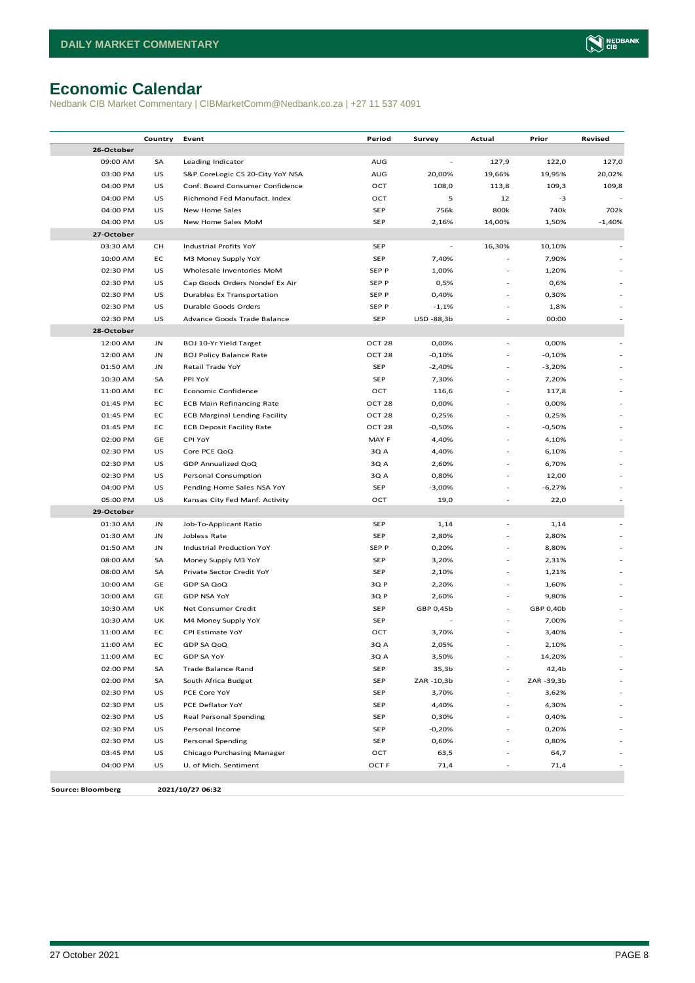## <span id="page-7-0"></span>**Economic Calendar**

Nedbank CIB Market Commentary | CIBMarketComm@Nedbank.co.za | +27 11 537 4091

|                          | Country | Event                                | Period            | Survey                   | Actual | Prior      | Revised  |
|--------------------------|---------|--------------------------------------|-------------------|--------------------------|--------|------------|----------|
| 26-October               |         |                                      |                   |                          |        |            |          |
| 09:00 AM                 | SA      | Leading Indicator                    | AUG               |                          | 127,9  | 122,0      | 127,0    |
| 03:00 PM                 | US      | S&P CoreLogic CS 20-City YoY NSA     | AUG               | 20,00%                   | 19,66% | 19,95%     | 20,02%   |
| 04:00 PM                 | US      | Conf. Board Consumer Confidence      | OCT               | 108,0                    | 113,8  | 109,3      | 109,8    |
| 04:00 PM                 | US      | Richmond Fed Manufact. Index         | OCT               | 5                        | 12     | -3         |          |
| 04:00 PM                 | US      | New Home Sales                       | <b>SEP</b>        | 756k                     | 800k   | 740k       | 702k     |
| 04:00 PM                 | US      | New Home Sales MoM                   | <b>SEP</b>        | 2,16%                    | 14,00% | 1,50%      | $-1,40%$ |
| 27-October               |         |                                      |                   |                          |        |            |          |
| 03:30 AM                 | CН      | Industrial Profits YoY               | <b>SEP</b>        | $\overline{\phantom{a}}$ | 16,30% | 10,10%     |          |
| 10:00 AM                 | EC      | M3 Money Supply YoY                  | <b>SEP</b>        | 7,40%                    |        | 7,90%      |          |
| 02:30 PM                 | US      | Wholesale Inventories MoM            | SEP P             | 1,00%                    |        | 1,20%      |          |
| 02:30 PM                 | US      | Cap Goods Orders Nondef Ex Air       | SEP P             | 0,5%                     |        | 0,6%       |          |
| 02:30 PM                 | US      | Durables Ex Transportation           | SEP P             | 0,40%                    |        | 0,30%      |          |
| 02:30 PM                 | US      | Durable Goods Orders                 | SEP P             | $-1,1%$                  |        | 1,8%       |          |
| 02:30 PM                 | US      | Advance Goods Trade Balance          | <b>SEP</b>        | USD -88,3b               |        | 00:00      |          |
| 28-October               |         |                                      |                   |                          |        |            |          |
| 12:00 AM                 | JN      | BOJ 10-Yr Yield Target               | OCT <sub>28</sub> | 0,00%                    |        | 0,00%      |          |
| 12:00 AM                 | JN      | <b>BOJ Policy Balance Rate</b>       | OCT <sub>28</sub> | $-0,10%$                 |        | $-0,10%$   |          |
| 01:50 AM                 | JN      | Retail Trade YoY                     | <b>SEP</b>        | $-2,40%$                 |        | $-3,20%$   |          |
| 10:30 AM                 | SA      | PPI YoY                              | <b>SEP</b>        | 7,30%                    |        | 7,20%      |          |
| 11:00 AM                 | EC      | <b>Economic Confidence</b>           | OCT               | 116,6                    |        | 117,8      |          |
| 01:45 PM                 | EC      | <b>ECB Main Refinancing Rate</b>     | OCT <sub>28</sub> | 0,00%                    |        | 0,00%      |          |
| 01:45 PM                 | EC      | <b>ECB Marginal Lending Facility</b> | OCT <sub>28</sub> | 0,25%                    |        | 0,25%      |          |
| 01:45 PM                 | EC      | <b>ECB Deposit Facility Rate</b>     | OCT <sub>28</sub> | $-0,50%$                 |        | $-0,50%$   |          |
| 02:00 PM                 | GE      | <b>CPI YoY</b>                       | MAY F             | 4,40%                    | i.     | 4,10%      |          |
| 02:30 PM                 | US      | Core PCE QoQ                         | 3Q A              | 4,40%                    | i.     | 6,10%      |          |
| 02:30 PM                 | US      | GDP Annualized QoQ                   | 3Q A              | 2,60%                    |        | 6,70%      |          |
| 02:30 PM                 | US      | Personal Consumption                 | 3Q A              | 0,80%                    |        | 12,00      |          |
| 04:00 PM                 | US      | Pending Home Sales NSA YoY           | <b>SEP</b>        | $-3,00%$                 |        | $-6,27%$   |          |
| 05:00 PM                 | US      | Kansas City Fed Manf. Activity       | OCT               | 19,0                     |        | 22,0       |          |
| 29-October               |         |                                      |                   |                          |        |            |          |
| 01:30 AM                 | JN      | Job-To-Applicant Ratio               | <b>SEP</b>        | 1,14                     |        | 1,14       |          |
| 01:30 AM                 | JN      | Jobless Rate                         | <b>SEP</b>        | 2,80%                    |        | 2,80%      |          |
| 01:50 AM                 | JN      | Industrial Production YoY            | SEP P             | 0,20%                    |        | 8,80%      |          |
| 08:00 AM                 | SA      | Money Supply M3 YoY                  | <b>SEP</b>        | 3,20%                    |        | 2,31%      |          |
| 08:00 AM                 | SA      | Private Sector Credit YoY            | <b>SEP</b>        | 2,10%                    |        | 1,21%      |          |
| 10:00 AM                 | GE      | GDP SA QoQ                           | 3Q P              | 2,20%                    |        | 1,60%      |          |
| 10:00 AM                 | GE      | <b>GDP NSA YoY</b>                   | 3Q P              | 2,60%                    |        | 9,80%      |          |
| 10:30 AM                 | UK      | Net Consumer Credit                  | <b>SEP</b>        | GBP 0,45b                |        | GBP 0,40b  |          |
| 10:30 AM                 | UK      | M4 Money Supply YoY                  | <b>SEP</b>        |                          |        | 7,00%      |          |
| 11:00 AM                 | EC      | CPI Estimate YoY                     | OCT               | 3,70%                    |        | 3,40%      |          |
| 11:00 AM                 | EC      | GDP SA QoQ                           | 3Q A              | 2,05%                    |        | 2,10%      |          |
| 11:00 AM                 | EC      | GDP SA YoY                           | 3Q A              | 3,50%                    |        | 14,20%     |          |
| 02:00 PM                 | SA      | <b>Trade Balance Rand</b>            | <b>SEP</b>        | 35,3b                    |        | 42,4b      |          |
| 02:00 PM                 | SA      | South Africa Budget                  | <b>SEP</b>        | ZAR -10,3b               |        | ZAR -39,3b |          |
| 02:30 PM                 | US      | PCE Core YoY                         | <b>SEP</b>        | 3,70%                    | ä,     | 3,62%      |          |
| 02:30 PM                 | US      | PCE Deflator YoY                     | <b>SEP</b>        | 4,40%                    | ä,     | 4,30%      |          |
| 02:30 PM                 | US      | Real Personal Spending               | <b>SEP</b>        | 0,30%                    |        | 0,40%      |          |
| 02:30 PM                 | US      | Personal Income                      | <b>SEP</b>        | $-0,20%$                 |        | 0,20%      |          |
| 02:30 PM                 | US      | Personal Spending                    | <b>SEP</b>        | 0,60%                    |        | 0,80%      |          |
| 03:45 PM                 | US      | Chicago Purchasing Manager           | OCT               | 63,5                     |        | 64,7       |          |
| 04:00 PM                 | US      | U. of Mich. Sentiment                | OCT F             | 71,4                     |        | 71,4       |          |
|                          |         |                                      |                   |                          |        |            |          |
| <b>Source: Bloomberg</b> |         | 2021/10/27 06:32                     |                   |                          |        |            |          |